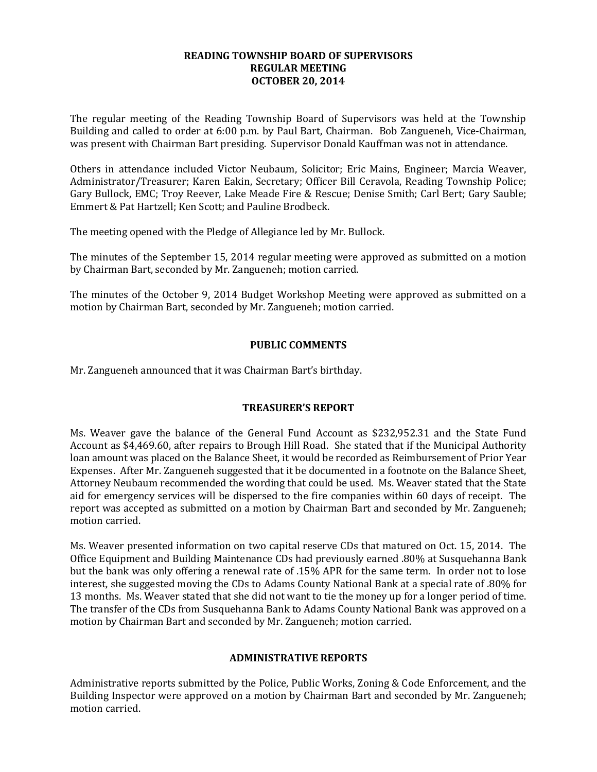## **READING TOWNSHIP BOARD OF SUPERVISORS REGULAR MEETING OCTOBER 20, 2014**

The regular meeting of the Reading Township Board of Supervisors was held at the Township Building and called to order at 6:00 p.m. by Paul Bart, Chairman. Bob Zangueneh, Vice-Chairman, was present with Chairman Bart presiding. Supervisor Donald Kauffman was not in attendance.

Others in attendance included Victor Neubaum, Solicitor; Eric Mains, Engineer; Marcia Weaver, Administrator/Treasurer; Karen Eakin, Secretary; Officer Bill Ceravola, Reading Township Police; Gary Bullock, EMC; Troy Reever, Lake Meade Fire & Rescue; Denise Smith; Carl Bert; Gary Sauble; Emmert & Pat Hartzell; Ken Scott; and Pauline Brodbeck.

The meeting opened with the Pledge of Allegiance led by Mr. Bullock.

The minutes of the September 15, 2014 regular meeting were approved as submitted on a motion by Chairman Bart, seconded by Mr. Zangueneh; motion carried.

The minutes of the October 9, 2014 Budget Workshop Meeting were approved as submitted on a motion by Chairman Bart, seconded by Mr. Zangueneh; motion carried.

# **PUBLIC COMMENTS**

Mr. Zangueneh announced that it was Chairman Bart's birthday.

# **TREASURER'S REPORT**

Ms. Weaver gave the balance of the General Fund Account as \$232,952.31 and the State Fund Account as \$4,469.60, after repairs to Brough Hill Road. She stated that if the Municipal Authority loan amount was placed on the Balance Sheet, it would be recorded as Reimbursement of Prior Year Expenses. After Mr. Zangueneh suggested that it be documented in a footnote on the Balance Sheet, Attorney Neubaum recommended the wording that could be used. Ms. Weaver stated that the State aid for emergency services will be dispersed to the fire companies within 60 days of receipt. The report was accepted as submitted on a motion by Chairman Bart and seconded by Mr. Zangueneh; motion carried.

Ms. Weaver presented information on two capital reserve CDs that matured on Oct. 15, 2014. The Office Equipment and Building Maintenance CDs had previously earned .80% at Susquehanna Bank but the bank was only offering a renewal rate of .15% APR for the same term. In order not to lose interest, she suggested moving the CDs to Adams County National Bank at a special rate of .80% for 13 months. Ms. Weaver stated that she did not want to tie the money up for a longer period of time. The transfer of the CDs from Susquehanna Bank to Adams County National Bank was approved on a motion by Chairman Bart and seconded by Mr. Zangueneh; motion carried.

### **ADMINISTRATIVE REPORTS**

Administrative reports submitted by the Police, Public Works, Zoning & Code Enforcement, and the Building Inspector were approved on a motion by Chairman Bart and seconded by Mr. Zangueneh; motion carried.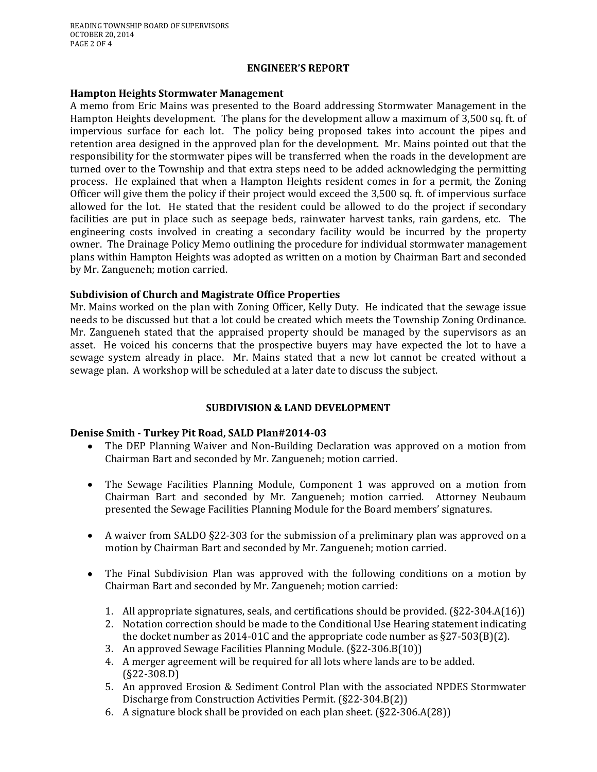### **ENGINEER'S REPORT**

#### **Hampton Heights Stormwater Management**

A memo from Eric Mains was presented to the Board addressing Stormwater Management in the Hampton Heights development. The plans for the development allow a maximum of 3,500 sq. ft. of impervious surface for each lot. The policy being proposed takes into account the pipes and retention area designed in the approved plan for the development. Mr. Mains pointed out that the responsibility for the stormwater pipes will be transferred when the roads in the development are turned over to the Township and that extra steps need to be added acknowledging the permitting process. He explained that when a Hampton Heights resident comes in for a permit, the Zoning Officer will give them the policy if their project would exceed the 3,500 sq. ft. of impervious surface allowed for the lot. He stated that the resident could be allowed to do the project if secondary facilities are put in place such as seepage beds, rainwater harvest tanks, rain gardens, etc. The engineering costs involved in creating a secondary facility would be incurred by the property owner. The Drainage Policy Memo outlining the procedure for individual stormwater management plans within Hampton Heights was adopted as written on a motion by Chairman Bart and seconded by Mr. Zangueneh; motion carried.

## **Subdivision of Church and Magistrate Office Properties**

Mr. Mains worked on the plan with Zoning Officer, Kelly Duty. He indicated that the sewage issue needs to be discussed but that a lot could be created which meets the Township Zoning Ordinance. Mr. Zangueneh stated that the appraised property should be managed by the supervisors as an asset. He voiced his concerns that the prospective buyers may have expected the lot to have a sewage system already in place. Mr. Mains stated that a new lot cannot be created without a sewage plan. A workshop will be scheduled at a later date to discuss the subject.

# **SUBDIVISION & LAND DEVELOPMENT**

### **Denise Smith - Turkey Pit Road, SALD Plan#2014-03**

- The DEP Planning Waiver and Non-Building Declaration was approved on a motion from  $\bullet$ Chairman Bart and seconded by Mr. Zangueneh; motion carried.
- The Sewage Facilities Planning Module, Component 1 was approved on a motion from  $\bullet$ Chairman Bart and seconded by Mr. Zangueneh; motion carried. Attorney Neubaum presented the Sewage Facilities Planning Module for the Board members' signatures.
- A waiver from SALDO §22-303 for the submission of a preliminary plan was approved on a motion by Chairman Bart and seconded by Mr. Zangueneh; motion carried.
- The Final Subdivision Plan was approved with the following conditions on a motion by Chairman Bart and seconded by Mr. Zangueneh; motion carried:
	- 1. All appropriate signatures, seals, and certifications should be provided. (§22-304.A(16))
	- 2. Notation correction should be made to the Conditional Use Hearing statement indicating the docket number as 2014-01C and the appropriate code number as §27-503(B)(2).
	- 3. An approved Sewage Facilities Planning Module. (§22-306.B(10))
	- 4. A merger agreement will be required for all lots where lands are to be added. (§22-308.D)
	- 5. An approved Erosion & Sediment Control Plan with the associated NPDES Stormwater Discharge from Construction Activities Permit. (§22-304.B(2))
	- 6. A signature block shall be provided on each plan sheet. (§22-306.A(28))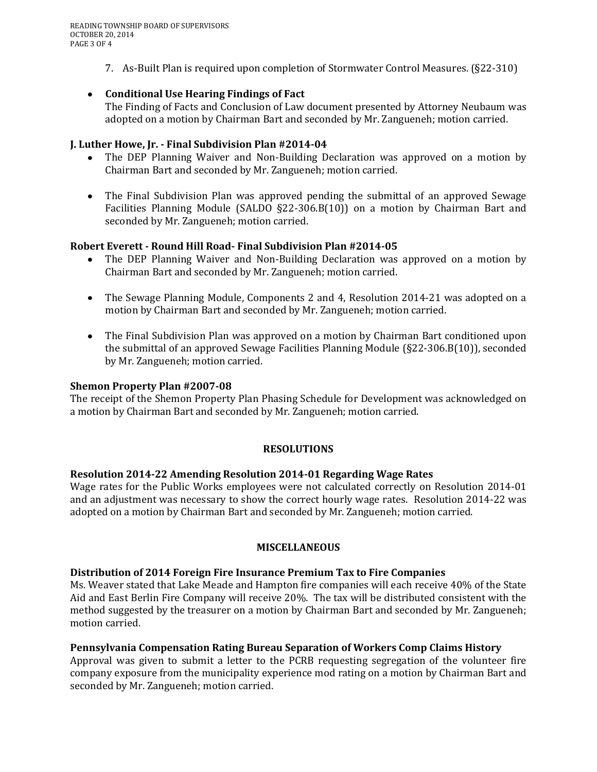7. As-Built Plan is required upon completion of Stormwater Control Measures. (§22-310)

# **Conditional Use Hearing Findings of Fact**

The Finding of Facts and Conclusion of Law document presented by Attorney Neubaum was adopted on a motion by Chairman Bart and seconded by Mr. Zangueneh; motion carried.

### **J. Luther Howe, Jr. - Final Subdivision Plan #2014-04**

- The DEP Planning Waiver and Non-Building Declaration was approved on a motion by Chairman Bart and seconded by Mr. Zangueneh; motion carried.
- The Final Subdivision Plan was approved pending the submittal of an approved Sewage Facilities Planning Module (SALDO §22-306.B(10)) on a motion by Chairman Bart and seconded by Mr. Zangueneh; motion carried.

## **Robert Everett - Round Hill Road- Final Subdivision Plan #2014-05**

- The DEP Planning Waiver and Non-Building Declaration was approved on a motion by Chairman Bart and seconded by Mr. Zangueneh; motion carried.
- The Sewage Planning Module, Components 2 and 4, Resolution 2014-21 was adopted on a motion by Chairman Bart and seconded by Mr. Zangueneh; motion carried.
- The Final Subdivision Plan was approved on a motion by Chairman Bart conditioned upon the submittal of an approved Sewage Facilities Planning Module (§22-306.B(10)), seconded by Mr. Zangueneh; motion carried.

### **Shemon Property Plan #2007-08**

The receipt of the Shemon Property Plan Phasing Schedule for Development was acknowledged on a motion by Chairman Bart and seconded by Mr. Zangueneh; motion carried.

### **RESOLUTIONS**

### **Resolution 2014-22 Amending Resolution 2014-01 Regarding Wage Rates**

Wage rates for the Public Works employees were not calculated correctly on Resolution 2014-01 and an adjustment was necessary to show the correct hourly wage rates. Resolution 2014-22 was adopted on a motion by Chairman Bart and seconded by Mr. Zangueneh; motion carried.

### **MISCELLANEOUS**

### **Distribution of 2014 Foreign Fire Insurance Premium Tax to Fire Companies**

Ms. Weaver stated that Lake Meade and Hampton fire companies will each receive 40% of the State Aid and East Berlin Fire Company will receive 20%. The tax will be distributed consistent with the method suggested by the treasurer on a motion by Chairman Bart and seconded by Mr. Zangueneh; motion carried.

### **Pennsylvania Compensation Rating Bureau Separation of Workers Comp Claims History**

Approval was given to submit a letter to the PCRB requesting segregation of the volunteer fire company exposure from the municipality experience mod rating on a motion by Chairman Bart and seconded by Mr. Zangueneh; motion carried.